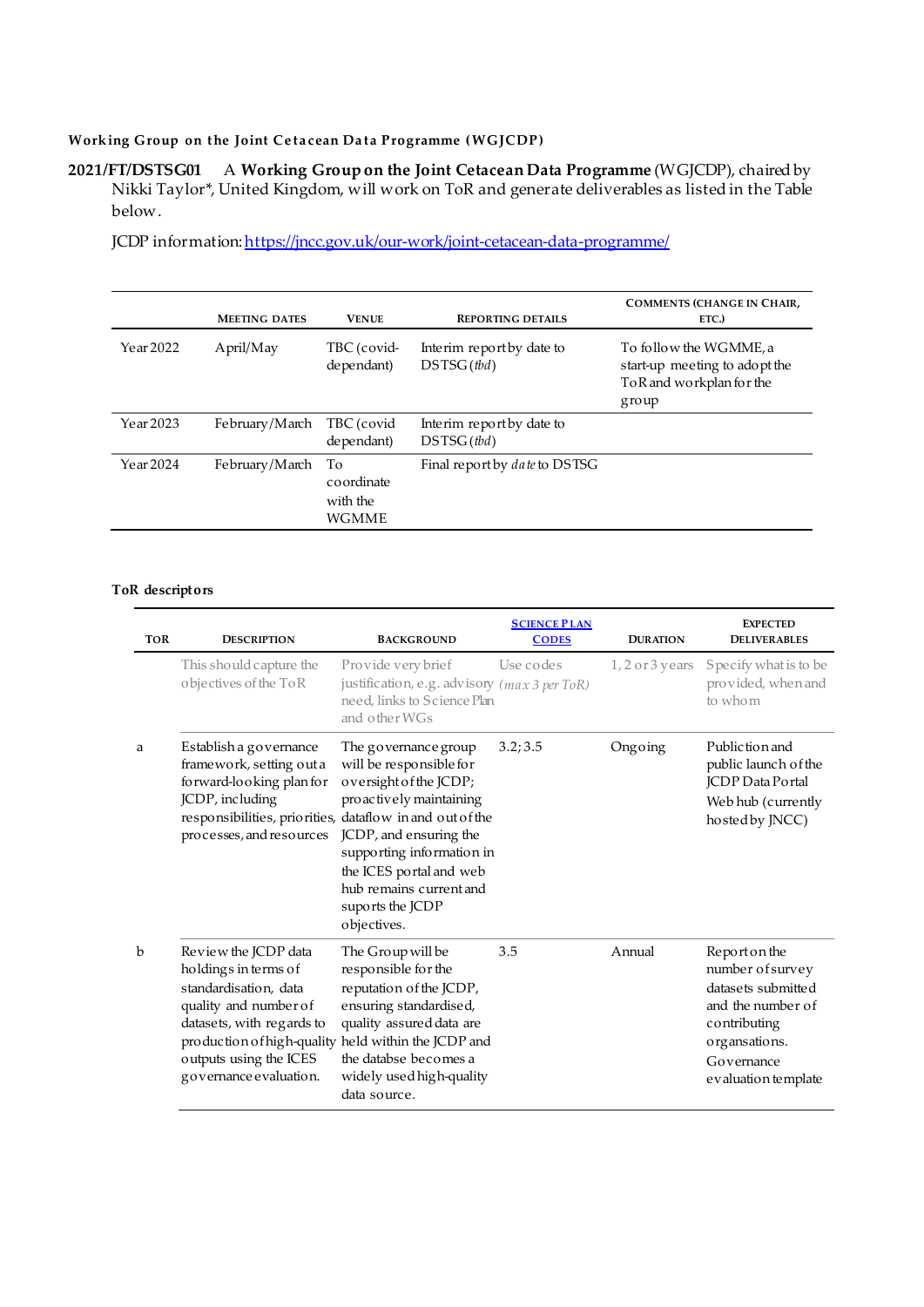### **Working Group on the Joint Cetacean Data Programme (WGJCDP)**

## **2021/FT/DSTSG01** A **Working Group on the Joint Cetacean Data Programme** (WGJCDP), chaired by Nikki Taylor\*, United Kingdom, will work on ToR and generate deliverables as listed in the Table below.

JCDP informatio[n: https://jncc.gov.uk/our-work/joint-cetacean-data-programme/](https://jncc.gov.uk/our-work/joint-cetacean-data-programme/)

|           | <b>MEETING DATES</b> | <b>VENUE</b>                          | <b>REPORTING DETAILS</b>                 | <b>COMMENTS (CHANGE IN CHAIR,</b><br>ETC.)                                                    |
|-----------|----------------------|---------------------------------------|------------------------------------------|-----------------------------------------------------------------------------------------------|
| Year 2022 | April/May            | TBC (covid-<br>dependant)             | Interim report by date to<br>DSTSG (tbd) | To follow the WGMME, a<br>start-up meeting to adopt the<br>To R and workplan for the<br>group |
| Year 2023 | February/March       | TBC (covid<br>dependant)              | Interim report by date to<br>DSTSG (thd) |                                                                                               |
| Year 2024 | February/March       | To<br>coordinate<br>with the<br>WGMME | Final report by <i>date</i> to DSTSG     |                                                                                               |

#### **ToR descriptors**

| <b>TOR</b> | <b>DESCRIPTION</b>                                                                                                                                                                                                                     | <b>BACKGROUND</b>                                                                                                                                                                                                                                                                                                 | <b>SCIENCE PLAN</b><br><b>CODES</b> | <b>DURATION</b>     | <b>EXPECTED</b><br><b>DELIVERABLES</b>                                                                                                             |
|------------|----------------------------------------------------------------------------------------------------------------------------------------------------------------------------------------------------------------------------------------|-------------------------------------------------------------------------------------------------------------------------------------------------------------------------------------------------------------------------------------------------------------------------------------------------------------------|-------------------------------------|---------------------|----------------------------------------------------------------------------------------------------------------------------------------------------|
|            | This should capture the<br>objectives of the ToR                                                                                                                                                                                       | Provide very brief<br>justification, e.g. advisory (max 3 per ToR)<br>need, links to Science Plan<br>and other WGs                                                                                                                                                                                                | Use codes                           | $1, 2$ or $3$ years | Specify what is to be<br>provided, when and<br>to whom                                                                                             |
| a          | Establish a governance<br>framework, setting out a<br>forward-looking plan for<br>JCDP, including<br>processes, and resources                                                                                                          | The governance group<br>will be responsible for<br>oversight of the JCDP;<br>pro actively maintaining<br>responsibilities, priorities, dataflow in and out of the<br>JCDP, and ensuring the<br>supporting information in<br>the ICES portal and web<br>hub remains current and<br>suports the JCDP<br>objectives. | 3.2; 3.5                            | Ongoing             | Publiction and<br>public launch of the<br><b>ICDP</b> Data Portal<br>Web hub (currently<br>hosted by JNCC)                                         |
| b          | Review the JCDP data<br>holdings in terms of<br>standardisation, data<br>quality and number of<br>datasets, with regards to<br>production of high-quality held within the JCDP and<br>outputs using the ICES<br>governance evaluation. | The Group will be<br>responsible for the<br>reputation of the JCDP,<br>ensuring standardised,<br>quality assured data are<br>the databse becomes a<br>widely used high-quality<br>data source.                                                                                                                    | 3.5                                 | Annual              | Report on the<br>number of survey<br>datasets submitted<br>and the number of<br>contributing<br>organsations.<br>Governance<br>evaluation template |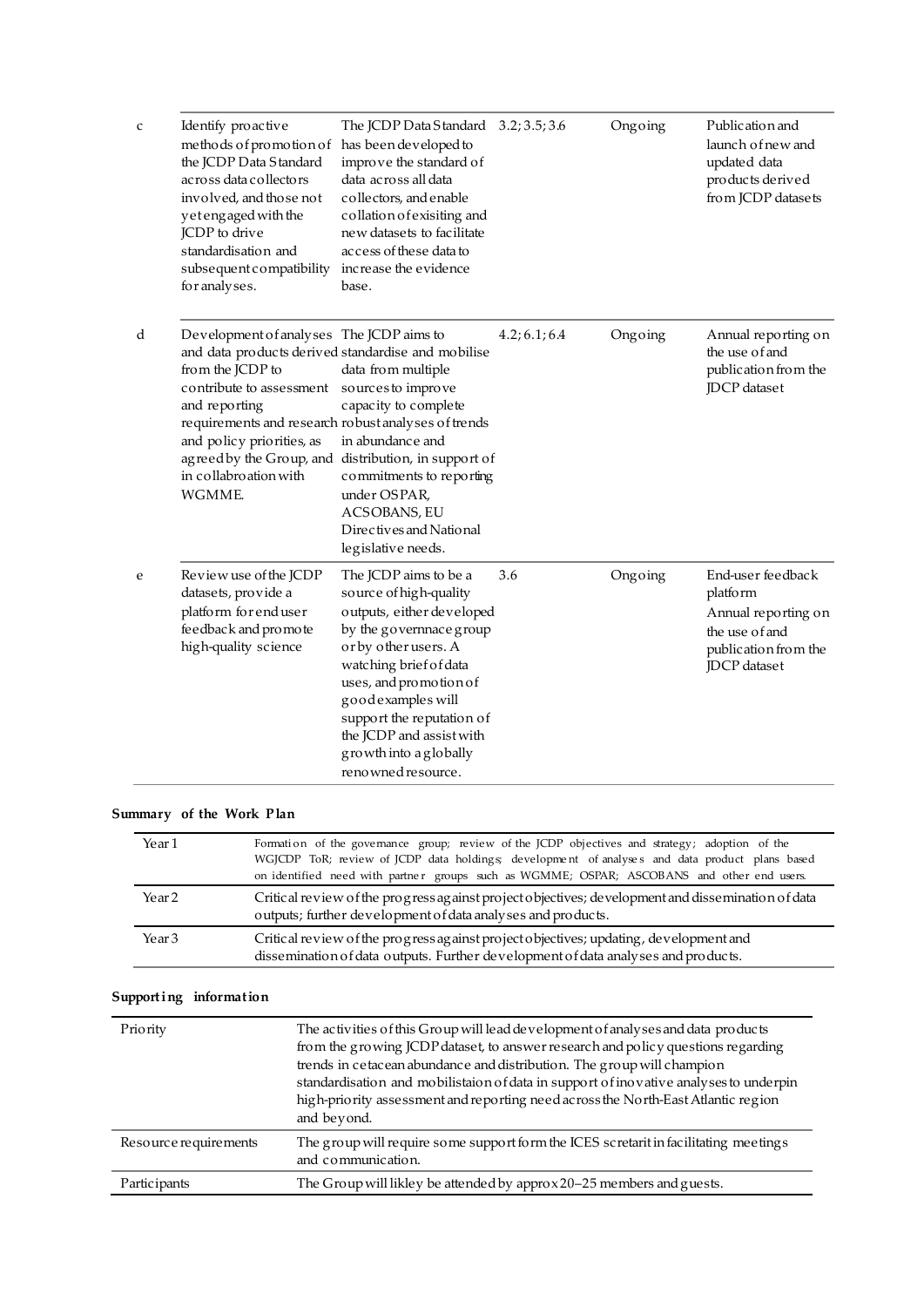| C | Identify proactive<br>methods of promotion of<br>the JCDP Data Standard<br>across data collectors<br>involved, and those not<br>yetengaged with the<br>JCDP to drive<br>standardisation and<br>subsequent compatibility<br>for analyses.                                                                  | The JCDP Data Standard $3.2; 3.5; 3.6$<br>has been developed to<br>improve the standard of<br>data across all data<br>collectors, and enable<br>collation of exisiting and<br>new datasets to facilitate<br>access of these data to<br>increase the evidence<br>base.                                               |               | Ongoing | Publication and<br>launch of new and<br>updated data<br>products derived<br>from JCDP datasets                        |
|---|-----------------------------------------------------------------------------------------------------------------------------------------------------------------------------------------------------------------------------------------------------------------------------------------------------------|---------------------------------------------------------------------------------------------------------------------------------------------------------------------------------------------------------------------------------------------------------------------------------------------------------------------|---------------|---------|-----------------------------------------------------------------------------------------------------------------------|
| d | Development of analyses The JCDP aims to<br>and data products derived standardise and mobilise<br>from the JCDP to<br>contribute to assessment sources to improve<br>and reporting<br>requirements and research robust analyses of trends<br>and policy priorities, as<br>in collabroation with<br>WGMME. | data from multiple<br>capacity to complete<br>in abundance and<br>agreed by the Group, and distribution, in support of<br>commitments to reporting<br>under OSPAR,<br>ACSOBANS, EU<br>Directives and National<br>legislative needs.                                                                                 | 4.2; 6.1; 6.4 | Ongoing | Annual reporting on<br>the use of and<br>publication from the<br><b>JDCP</b> dataset                                  |
| e | Review use of the JCDP<br>datasets, provide a<br>platform for end user<br>feedback and promote<br>high-quality science                                                                                                                                                                                    | The JCDP aims to be a<br>source of high-quality<br>outputs, either developed<br>by the governnace group<br>or by other users. A<br>watching brief of data<br>uses, and promotion of<br>good examples will<br>support the reputation of<br>the JCDP and assist with<br>growth into a globally<br>reno wned resource. | 3.6           | Ongoing | End-user feedback<br>platform<br>Annual reporting on<br>the use of and<br>publication from the<br><b>IDCP</b> dataset |

### **Summary of the Work Plan**

| Year 1            | Formation of the governance group; review of the JCDP objectives and strategy; adoption of the<br>WGJCDP ToR; review of JCDP data holdings; development of analyses and data product plans based<br>on identified need with partner groups such as WGMME; OSPAR; ASCOBANS and other end users. |  |
|-------------------|------------------------------------------------------------------------------------------------------------------------------------------------------------------------------------------------------------------------------------------------------------------------------------------------|--|
| Year <sub>2</sub> | Critical review of the progress against project objectives; development and dissemination of data<br>outputs; further development of data analyses and products.                                                                                                                               |  |
| Year 3            | Critical review of the progress against project objectives; updating, development and<br>dissemination of data outputs. Further development of data analyses and products.                                                                                                                     |  |

# **Supporting information**

| Priority              | The activities of this Group will lead development of analyses and data products<br>from the growing JCDP dataset, to answer research and policy questions regarding<br>trends in cetacean abundance and distribution. The group will champion<br>standardisation and mobilistaion of data in support of inovative analyses to underpin<br>high-priority assessment and reporting need across the North-East Atlantic region<br>and beyond. |
|-----------------------|---------------------------------------------------------------------------------------------------------------------------------------------------------------------------------------------------------------------------------------------------------------------------------------------------------------------------------------------------------------------------------------------------------------------------------------------|
| Resource requirements | The group will require some support form the ICES scretarit in facilitating meetings<br>and communication.                                                                                                                                                                                                                                                                                                                                  |
| Participants          | The Group will likley be attended by approx 20-25 members and guests.                                                                                                                                                                                                                                                                                                                                                                       |